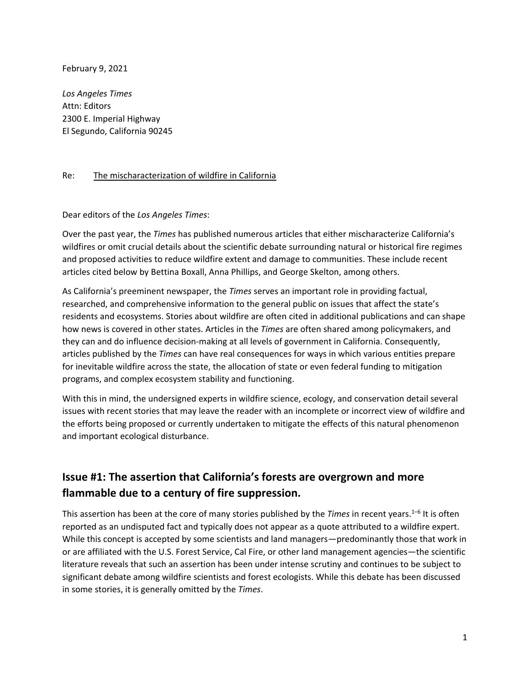February 9, 2021

*Los Angeles Times* Attn: Editors 2300 E. Imperial Highway El Segundo, California 90245

#### Re: The mischaracterization of wildfire in California

Dear editors of the *Los Angeles Times*:

Over the past year, the *Times* has published numerous articles that either mischaracterize California's wildfires or omit crucial details about the scientific debate surrounding natural or historical fire regimes and proposed activities to reduce wildfire extent and damage to communities. These include recent articles cited below by Bettina Boxall, Anna Phillips, and George Skelton, among others.

As California's preeminent newspaper, the *Times* serves an important role in providing factual, researched, and comprehensive information to the general public on issues that affect the state's residents and ecosystems. Stories about wildfire are often cited in additional publications and can shape how news is covered in other states. Articles in the *Times* are often shared among policymakers, and they can and do influence decision-making at all levels of government in California. Consequently, articles published by the *Times* can have real consequences for ways in which various entities prepare for inevitable wildfire across the state, the allocation of state or even federal funding to mitigation programs, and complex ecosystem stability and functioning.

With this in mind, the undersigned experts in wildfire science, ecology, and conservation detail several issues with recent stories that may leave the reader with an incomplete or incorrect view of wildfire and the efforts being proposed or currently undertaken to mitigate the effects of this natural phenomenon and important ecological disturbance.

## **Issue #1: The assertion that California's forests are overgrown and more flammable due to a century of fire suppression.**

This assertion has been at the core of many stories published by the *Times* in recent years.<sup>1–6</sup> It is often reported as an undisputed fact and typically does not appear as a quote attributed to a wildfire expert. While this concept is accepted by some scientists and land managers—predominantly those that work in or are affiliated with the U.S. Forest Service, Cal Fire, or other land management agencies—the scientific literature reveals that such an assertion has been under intense scrutiny and continues to be subject to significant debate among wildfire scientists and forest ecologists. While this debate has been discussed in some stories, it is generally omitted by the *Times*.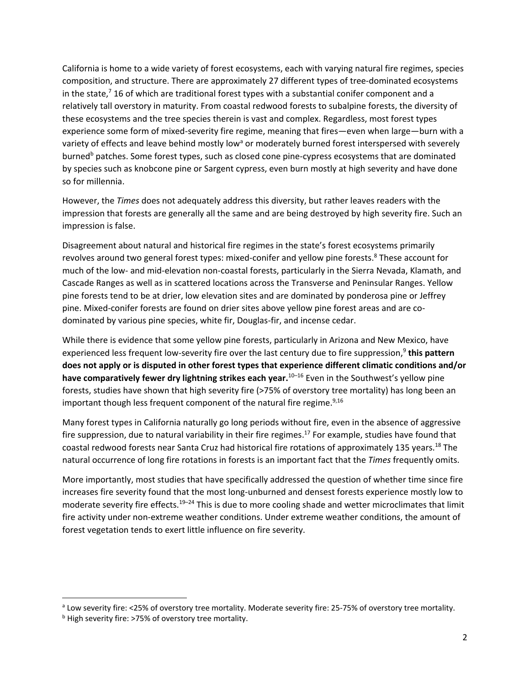California is home to a wide variety of forest ecosystems, each with varying natural fire regimes, species composition, and structure. There are approximately 27 different types of tree-dominated ecosystems in the state,<sup>7</sup> 16 of which are traditional forest types with a substantial conifer component and a relatively tall overstory in maturity. From coastal redwood forests to subalpine forests, the diversity of these ecosystems and the tree species therein is vast and complex. Regardless, most forest types experience some form of mixed-severity fire regime, meaning that fires—even when large—burn with a variety of effects and leave behind mostly low<sup>a</sup> or moderately burned forest interspersed with severely burned<sup>b</sup> patches. Some forest types, such as closed cone pine-cypress ecosystems that are dominated by species such as knobcone pine or Sargent cypress, even burn mostly at high severity and have done so for millennia.

However, the *Times* does not adequately address this diversity, but rather leaves readers with the impression that forests are generally all the same and are being destroyed by high severity fire. Such an impression is false.

Disagreement about natural and historical fire regimes in the state's forest ecosystems primarily revolves around two general forest types: mixed-conifer and yellow pine forests.<sup>8</sup> These account for much of the low- and mid-elevation non-coastal forests, particularly in the Sierra Nevada, Klamath, and Cascade Ranges as well as in scattered locations across the Transverse and Peninsular Ranges. Yellow pine forests tend to be at drier, low elevation sites and are dominated by ponderosa pine or Jeffrey pine. Mixed-conifer forests are found on drier sites above yellow pine forest areas and are codominated by various pine species, white fir, Douglas-fir, and incense cedar.

While there is evidence that some yellow pine forests, particularly in Arizona and New Mexico, have experienced less frequent low-severity fire over the last century due to fire suppression, 9 **this pattern does not apply or is disputed in other forest types that experience different climatic conditions and/or have comparatively fewer dry lightning strikes each year.** <sup>10</sup>–<sup>16</sup> Even in the Southwest's yellow pine forests, studies have shown that high severity fire (>75% of overstory tree mortality) has long been an important though less frequent component of the natural fire regime.<sup>9,16</sup>

Many forest types in California naturally go long periods without fire, even in the absence of aggressive fire suppression, due to natural variability in their fire regimes.<sup>17</sup> For example, studies have found that coastal redwood forests near Santa Cruz had historical fire rotations of approximately 135 years.<sup>18</sup> The natural occurrence of long fire rotations in forests is an important fact that the *Times* frequently omits.

More importantly, most studies that have specifically addressed the question of whether time since fire increases fire severity found that the most long-unburned and densest forests experience mostly low to moderate severity fire effects.<sup>19–24</sup> This is due to more cooling shade and wetter microclimates that limit fire activity under non-extreme weather conditions. Under extreme weather conditions, the amount of forest vegetation tends to exert little influence on fire severity.

a Low severity fire: <25% of overstory tree mortality. Moderate severity fire: 25-75% of overstory tree mortality.

<sup>&</sup>lt;sup>b</sup> High severity fire: >75% of overstory tree mortality.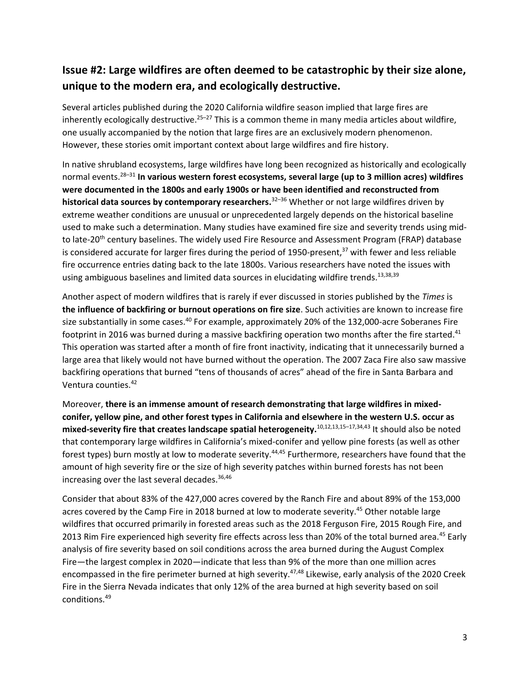## **Issue #2: Large wildfires are often deemed to be catastrophic by their size alone, unique to the modern era, and ecologically destructive.**

Several articles published during the 2020 California wildfire season implied that large fires are inherently ecologically destructive.<sup>25-27</sup> This is a common theme in many media articles about wildfire, one usually accompanied by the notion that large fires are an exclusively modern phenomenon. However, these stories omit important context about large wildfires and fire history.

In native shrubland ecosystems, large wildfires have long been recognized as historically and ecologically normal events.<sup>28</sup>–<sup>31</sup> **In various western forest ecosystems, several large (up to 3 million acres) wildfires were documented in the 1800s and early 1900s or have been identified and reconstructed from historical data sources by contemporary researchers.**<sup>32</sup>–<sup>36</sup> Whether or not large wildfires driven by extreme weather conditions are unusual or unprecedented largely depends on the historical baseline used to make such a determination. Many studies have examined fire size and severity trends using midto late-20<sup>th</sup> century baselines. The widely used Fire Resource and Assessment Program (FRAP) database is considered accurate for larger fires during the period of 1950-present, $37$  with fewer and less reliable fire occurrence entries dating back to the late 1800s. Various researchers have noted the issues with using ambiguous baselines and limited data sources in elucidating wildfire trends.<sup>13,38,39</sup>

Another aspect of modern wildfires that is rarely if ever discussed in stories published by the *Times* is **the influence of backfiring or burnout operations on fire size**. Such activities are known to increase fire size substantially in some cases.<sup>40</sup> For example, approximately 20% of the 132,000-acre Soberanes Fire footprint in 2016 was burned during a massive backfiring operation two months after the fire started.<sup>41</sup> This operation was started after a month of fire front inactivity, indicating that it unnecessarily burned a large area that likely would not have burned without the operation. The 2007 Zaca Fire also saw massive backfiring operations that burned "tens of thousands of acres" ahead of the fire in Santa Barbara and Ventura counties.<sup>42</sup>

Moreover, **there is an immense amount of research demonstrating that large wildfires in mixedconifer, yellow pine, and other forest types in California and elsewhere in the western U.S. occur as mixed-severity fire that creates landscape spatial heterogeneity.**10,12,13,15–17,34,43 It should also be noted that contemporary large wildfires in California's mixed-conifer and yellow pine forests (as well as other forest types) burn mostly at low to moderate severity.<sup>44,45</sup> Furthermore, researchers have found that the amount of high severity fire or the size of high severity patches within burned forests has not been increasing over the last several decades.<sup>36,46</sup>

Consider that about 83% of the 427,000 acres covered by the Ranch Fire and about 89% of the 153,000 acres covered by the Camp Fire in 2018 burned at low to moderate severity. <sup>45</sup> Other notable large wildfires that occurred primarily in forested areas such as the 2018 Ferguson Fire, 2015 Rough Fire, and 2013 Rim Fire experienced high severity fire effects across less than 20% of the total burned area.<sup>45</sup> Early analysis of fire severity based on soil conditions across the area burned during the August Complex Fire—the largest complex in 2020—indicate that less than 9% of the more than one million acres encompassed in the fire perimeter burned at high severity.<sup>47,48</sup> Likewise, early analysis of the 2020 Creek Fire in the Sierra Nevada indicates that only 12% of the area burned at high severity based on soil conditions.49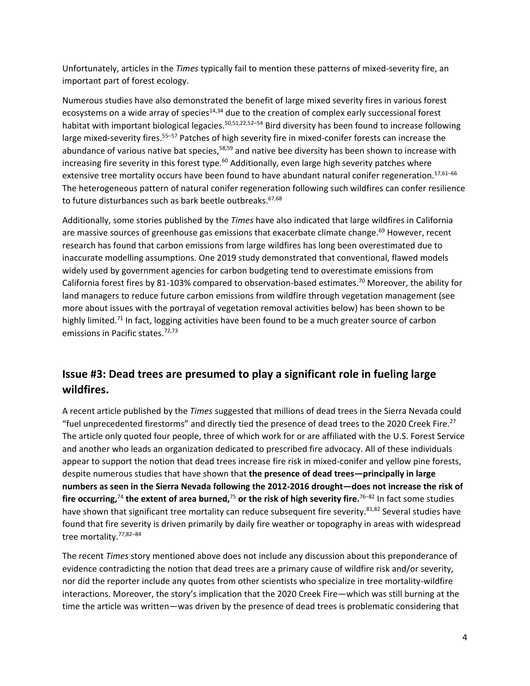Unfortunately, articles in the *Times* typically fail to mention these patterns of mixed-severity fire, an important part of forest ecology.

Numerous studies have also demonstrated the benefit of large mixed severity fires in various forest ecosystems on a wide array of species<sup>14,34</sup> due to the creation of complex early successional forest habitat with important biological legacies.<sup>50,51,22,52–54</sup> Bird diversity has been found to increase following large mixed-severity fires.<sup>55-57</sup> Patches of high severity fire in mixed-conifer forests can increase the abundance of various native bat species,<sup>58,59</sup> and native bee diversity has been shown to increase with increasing fire severity in this forest type.<sup>60</sup> Additionally, even large high severity patches where extensive tree mortality occurs have been found to have abundant natural conifer regeneration.<sup>17,61-66</sup> The heterogeneous pattern of natural conifer regeneration following such wildfires can confer resilience to future disturbances such as bark beetle outbreaks.<sup>67,68</sup>

Additionally, some stories published by the *Times* have also indicated that large wildfires in California are massive sources of greenhouse gas emissions that exacerbate climate change.<sup>69</sup> However, recent research has found that carbon emissions from large wildfires has long been overestimated due to inaccurate modelling assumptions. One 2019 study demonstrated that conventional, flawed models widely used by government agencies for carbon budgeting tend to overestimate emissions from California forest fires by 81-103% compared to observation-based estimates.<sup>70</sup> Moreover, the ability for land managers to reduce future carbon emissions from wildfire through vegetation management (see more about issues with the portrayal of vegetation removal activities below) has been shown to be highly limited.<sup>71</sup> In fact, logging activities have been found to be a much greater source of carbon emissions in Pacific states.<sup>72,73</sup>

## **Issue #3: Dead trees are presumed to play a significant role in fueling large wildfires.**

A recent article published by the *Times* suggested that millions of dead trees in the Sierra Nevada could "fuel unprecedented firestorms" and directly tied the presence of dead trees to the 2020 Creek Fire. $^{27}$ The article only quoted four people, three of which work for or are affiliated with the U.S. Forest Service and another who leads an organization dedicated to prescribed fire advocacy. All of these individuals appear to support the notion that dead trees increase fire risk in mixed-conifer and yellow pine forests, despite numerous studies that have shown that **the presence of dead trees—principally in large numbers as seen in the Sierra Nevada following the 2012-2016 drought—does not increase the risk of fire occurring,**<sup>74</sup> **the extent of area burned,**<sup>75</sup> **or the risk of high severity fire.**<sup>76</sup>–<sup>82</sup> In fact some studies have shown that significant tree mortality can reduce subsequent fire severity.<sup>81,82</sup> Several studies have found that fire severity is driven primarily by daily fire weather or topography in areas with widespread tree mortality.<sup>77,82–84</sup>

The recent *Times* story mentioned above does not include any discussion about this preponderance of evidence contradicting the notion that dead trees are a primary cause of wildfire risk and/or severity, nor did the reporter include any quotes from other scientists who specialize in tree mortality-wildfire interactions. Moreover, the story's implication that the 2020 Creek Fire—which was still burning at the time the article was written—was driven by the presence of dead trees is problematic considering that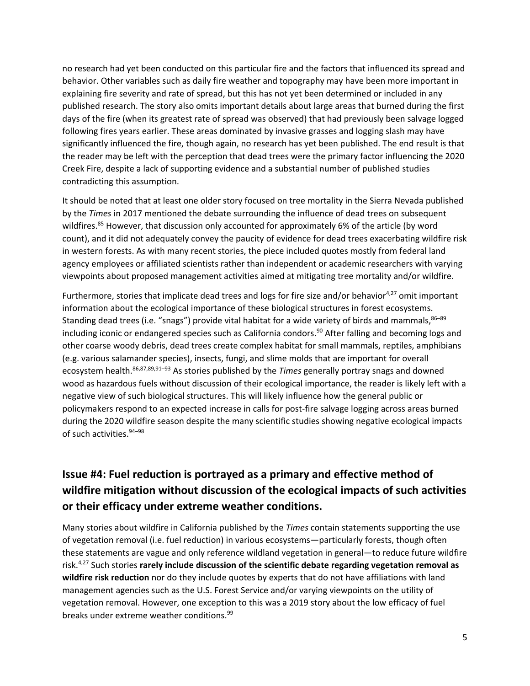no research had yet been conducted on this particular fire and the factors that influenced its spread and behavior. Other variables such as daily fire weather and topography may have been more important in explaining fire severity and rate of spread, but this has not yet been determined or included in any published research. The story also omits important details about large areas that burned during the first days of the fire (when its greatest rate of spread was observed) that had previously been salvage logged following fires years earlier. These areas dominated by invasive grasses and logging slash may have significantly influenced the fire, though again, no research has yet been published. The end result is that the reader may be left with the perception that dead trees were the primary factor influencing the 2020 Creek Fire, despite a lack of supporting evidence and a substantial number of published studies contradicting this assumption.

It should be noted that at least one older story focused on tree mortality in the Sierra Nevada published by the *Times* in 2017 mentioned the debate surrounding the influence of dead trees on subsequent wildfires.<sup>85</sup> However, that discussion only accounted for approximately 6% of the article (by word count), and it did not adequately convey the paucity of evidence for dead trees exacerbating wildfire risk in western forests. As with many recent stories, the piece included quotes mostly from federal land agency employees or affiliated scientists rather than independent or academic researchers with varying viewpoints about proposed management activities aimed at mitigating tree mortality and/or wildfire.

Furthermore, stories that implicate dead trees and logs for fire size and/or behavior<sup>4,27</sup> omit important information about the ecological importance of these biological structures in forest ecosystems. Standing dead trees (i.e. "snags") provide vital habitat for a wide variety of birds and mammals, <sup>86–89</sup> including iconic or endangered species such as California condors.<sup>90</sup> After falling and becoming logs and other coarse woody debris, dead trees create complex habitat for small mammals, reptiles, amphibians (e.g. various salamander species), insects, fungi, and slime molds that are important for overall ecosystem health.86,87,89,91–<sup>93</sup> As stories published by the *Times* generally portray snags and downed wood as hazardous fuels without discussion of their ecological importance, the reader is likely left with a negative view of such biological structures. This will likely influence how the general public or policymakers respond to an expected increase in calls for post-fire salvage logging across areas burned during the 2020 wildfire season despite the many scientific studies showing negative ecological impacts of such activities.<sup>94-98</sup>

# **Issue #4: Fuel reduction is portrayed as a primary and effective method of wildfire mitigation without discussion of the ecological impacts of such activities or their efficacy under extreme weather conditions.**

Many stories about wildfire in California published by the *Times* contain statements supporting the use of vegetation removal (i.e. fuel reduction) in various ecosystems—particularly forests, though often these statements are vague and only reference wildland vegetation in general—to reduce future wildfire risk.4,27 Such stories **rarely include discussion of the scientific debate regarding vegetation removal as wildfire risk reduction** nor do they include quotes by experts that do not have affiliations with land management agencies such as the U.S. Forest Service and/or varying viewpoints on the utility of vegetation removal. However, one exception to this was a 2019 story about the low efficacy of fuel breaks under extreme weather conditions.<sup>99</sup>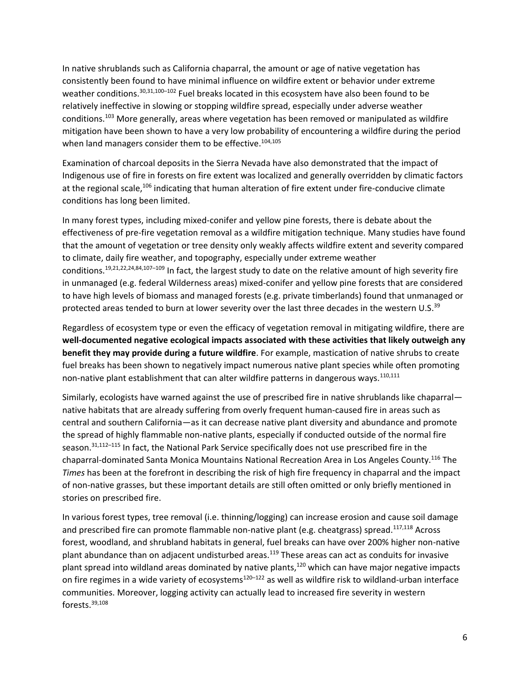In native shrublands such as California chaparral, the amount or age of native vegetation has consistently been found to have minimal influence on wildfire extent or behavior under extreme weather conditions.<sup>30,31,100-102</sup> Fuel breaks located in this ecosystem have also been found to be relatively ineffective in slowing or stopping wildfire spread, especially under adverse weather conditions.<sup>103</sup> More generally, areas where vegetation has been removed or manipulated as wildfire mitigation have been shown to have a very low probability of encountering a wildfire during the period when land managers consider them to be effective.<sup>104,105</sup>

Examination of charcoal deposits in the Sierra Nevada have also demonstrated that the impact of Indigenous use of fire in forests on fire extent was localized and generally overridden by climatic factors at the regional scale,<sup>106</sup> indicating that human alteration of fire extent under fire-conducive climate conditions has long been limited.

In many forest types, including mixed-conifer and yellow pine forests, there is debate about the effectiveness of pre-fire vegetation removal as a wildfire mitigation technique. Many studies have found that the amount of vegetation or tree density only weakly affects wildfire extent and severity compared to climate, daily fire weather, and topography, especially under extreme weather conditions.19,21,22,24,84,107–<sup>109</sup> In fact, the largest study to date on the relative amount of high severity fire in unmanaged (e.g. federal Wilderness areas) mixed-conifer and yellow pine forests that are considered to have high levels of biomass and managed forests (e.g. private timberlands) found that unmanaged or protected areas tended to burn at lower severity over the last three decades in the western U.S.<sup>39</sup>

Regardless of ecosystem type or even the efficacy of vegetation removal in mitigating wildfire, there are **well-documented negative ecological impacts associated with these activities that likely outweigh any benefit they may provide during a future wildfire**. For example, mastication of native shrubs to create fuel breaks has been shown to negatively impact numerous native plant species while often promoting non-native plant establishment that can alter wildfire patterns in dangerous ways.<sup>110,111</sup>

Similarly, ecologists have warned against the use of prescribed fire in native shrublands like chaparral native habitats that are already suffering from overly frequent human-caused fire in areas such as central and southern California—as it can decrease native plant diversity and abundance and promote the spread of highly flammable non-native plants, especially if conducted outside of the normal fire season.<sup>31,112-115</sup> In fact, the National Park Service specifically does not use prescribed fire in the chaparral-dominated Santa Monica Mountains National Recreation Area in Los Angeles County.<sup>116</sup> The *Times* has been at the forefront in describing the risk of high fire frequency in chaparral and the impact of non-native grasses, but these important details are still often omitted or only briefly mentioned in stories on prescribed fire.

In various forest types, tree removal (i.e. thinning/logging) can increase erosion and cause soil damage and prescribed fire can promote flammable non-native plant (e.g. cheatgrass) spread.<sup>117,118</sup> Across forest, woodland, and shrubland habitats in general, fuel breaks can have over 200% higher non-native plant abundance than on adjacent undisturbed areas.<sup>119</sup> These areas can act as conduits for invasive plant spread into wildland areas dominated by native plants, <sup>120</sup> which can have major negative impacts on fire regimes in a wide variety of ecosystems<sup>120–122</sup> as well as wildfire risk to wildland-urban interface communities. Moreover, logging activity can actually lead to increased fire severity in western forests.39,108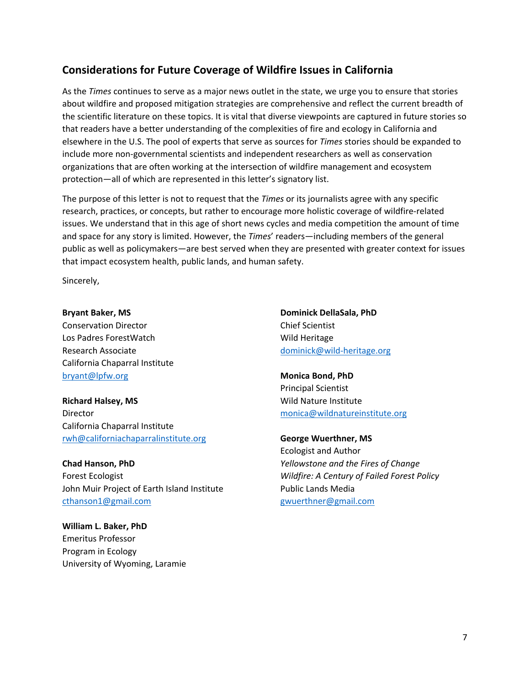#### **Considerations for Future Coverage of Wildfire Issues in California**

As the *Times* continues to serve as a major news outlet in the state, we urge you to ensure that stories about wildfire and proposed mitigation strategies are comprehensive and reflect the current breadth of the scientific literature on these topics. It is vital that diverse viewpoints are captured in future stories so that readers have a better understanding of the complexities of fire and ecology in California and elsewhere in the U.S. The pool of experts that serve as sources for *Times* stories should be expanded to include more non-governmental scientists and independent researchers as well as conservation organizations that are often working at the intersection of wildfire management and ecosystem protection—all of which are represented in this letter's signatory list.

The purpose of this letter is not to request that the *Times* or its journalists agree with any specific research, practices, or concepts, but rather to encourage more holistic coverage of wildfire-related issues. We understand that in this age of short news cycles and media competition the amount of time and space for any story is limited. However, the *Times*' readers—including members of the general public as well as policymakers—are best served when they are presented with greater context for issues that impact ecosystem health, public lands, and human safety.

Sincerely,

**Bryant Baker, MS** Conservation Director Los Padres ForestWatch Research Associate California Chaparral Institute [bryant@lpfw.org](mailto:bryant@lpfw.org)

**Richard Halsey, MS** Director California Chaparral Institute [rwh@californiachaparralinstitute.org](mailto:rwh@californiachaparralinstitute.org)

**Chad Hanson, PhD** Forest Ecologist John Muir Project of Earth Island Institute [cthanson1@gmail.com](mailto:cthanson1@gmail.com)

**William L. Baker, PhD** Emeritus Professor Program in Ecology University of Wyoming, Laramie **Dominick DellaSala, PhD** Chief Scientist Wild Heritage [dominick@wild-heritage.org](mailto:dominick@wild-heritage.org)

**Monica Bond, PhD** Principal Scientist Wild Nature Institute [monica@wildnatureinstitute.org](mailto:monica@wildnatureinstitute.org)

**George Wuerthner, MS** Ecologist and Author *Yellowstone and the Fires of Change Wildfire: A Century of Failed Forest Policy* Public Lands Media [gwuerthner@gmail.com](mailto:gwuerthner@gmail.com)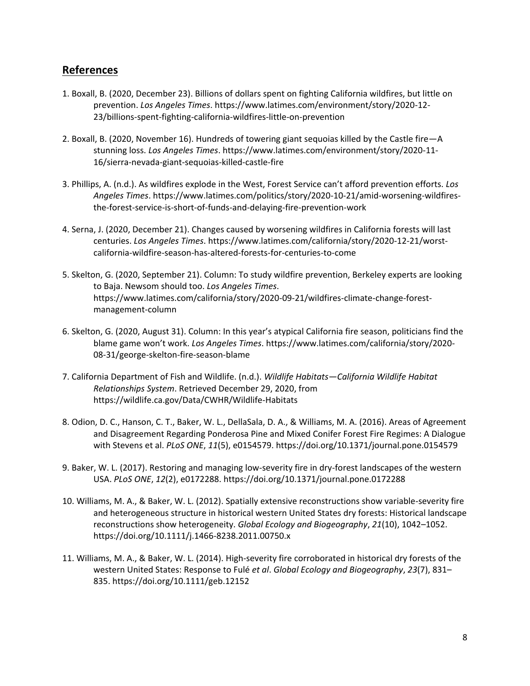#### **References**

- 1. Boxall, B. (2020, December 23). Billions of dollars spent on fighting California wildfires, but little on prevention. *Los Angeles Times*. https://www.latimes.com/environment/story/2020-12- 23/billions-spent-fighting-california-wildfires-little-on-prevention
- 2. Boxall, B. (2020, November 16). Hundreds of towering giant sequoias killed by the Castle fire—A stunning loss. *Los Angeles Times*. https://www.latimes.com/environment/story/2020-11- 16/sierra-nevada-giant-sequoias-killed-castle-fire
- 3. Phillips, A. (n.d.). As wildfires explode in the West, Forest Service can't afford prevention efforts. *Los Angeles Times*. https://www.latimes.com/politics/story/2020-10-21/amid-worsening-wildfiresthe-forest-service-is-short-of-funds-and-delaying-fire-prevention-work
- 4. Serna, J. (2020, December 21). Changes caused by worsening wildfires in California forests will last centuries. *Los Angeles Times*. https://www.latimes.com/california/story/2020-12-21/worstcalifornia-wildfire-season-has-altered-forests-for-centuries-to-come
- 5. Skelton, G. (2020, September 21). Column: To study wildfire prevention, Berkeley experts are looking to Baja. Newsom should too. *Los Angeles Times*. https://www.latimes.com/california/story/2020-09-21/wildfires-climate-change-forestmanagement-column
- 6. Skelton, G. (2020, August 31). Column: In this year's atypical California fire season, politicians find the blame game won't work. *Los Angeles Times*. https://www.latimes.com/california/story/2020- 08-31/george-skelton-fire-season-blame
- 7. California Department of Fish and Wildlife. (n.d.). *Wildlife Habitats—California Wildlife Habitat Relationships System*. Retrieved December 29, 2020, from https://wildlife.ca.gov/Data/CWHR/Wildlife-Habitats
- 8. Odion, D. C., Hanson, C. T., Baker, W. L., DellaSala, D. A., & Williams, M. A. (2016). Areas of Agreement and Disagreement Regarding Ponderosa Pine and Mixed Conifer Forest Fire Regimes: A Dialogue with Stevens et al. *PLoS ONE*, *11*(5), e0154579. https://doi.org/10.1371/journal.pone.0154579
- 9. Baker, W. L. (2017). Restoring and managing low-severity fire in dry-forest landscapes of the western USA. *PLoS ONE*, *12*(2), e0172288. https://doi.org/10.1371/journal.pone.0172288
- 10. Williams, M. A., & Baker, W. L. (2012). Spatially extensive reconstructions show variable-severity fire and heterogeneous structure in historical western United States dry forests: Historical landscape reconstructions show heterogeneity. *Global Ecology and Biogeography*, *21*(10), 1042–1052. https://doi.org/10.1111/j.1466-8238.2011.00750.x
- 11. Williams, M. A., & Baker, W. L. (2014). High-severity fire corroborated in historical dry forests of the western United States: Response to Fulé *et al*. *Global Ecology and Biogeography*, *23*(7), 831– 835. https://doi.org/10.1111/geb.12152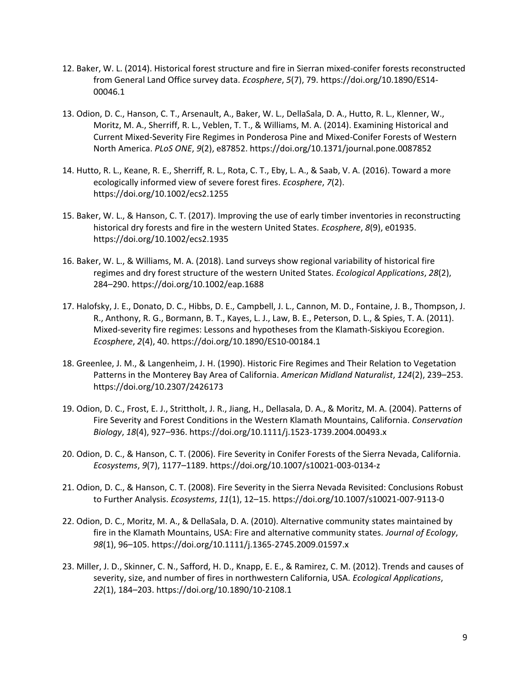- 12. Baker, W. L. (2014). Historical forest structure and fire in Sierran mixed-conifer forests reconstructed from General Land Office survey data. *Ecosphere*, *5*(7), 79. https://doi.org/10.1890/ES14- 00046.1
- 13. Odion, D. C., Hanson, C. T., Arsenault, A., Baker, W. L., DellaSala, D. A., Hutto, R. L., Klenner, W., Moritz, M. A., Sherriff, R. L., Veblen, T. T., & Williams, M. A. (2014). Examining Historical and Current Mixed-Severity Fire Regimes in Ponderosa Pine and Mixed-Conifer Forests of Western North America. *PLoS ONE*, *9*(2), e87852. https://doi.org/10.1371/journal.pone.0087852
- 14. Hutto, R. L., Keane, R. E., Sherriff, R. L., Rota, C. T., Eby, L. A., & Saab, V. A. (2016). Toward a more ecologically informed view of severe forest fires. *Ecosphere*, *7*(2). https://doi.org/10.1002/ecs2.1255
- 15. Baker, W. L., & Hanson, C. T. (2017). Improving the use of early timber inventories in reconstructing historical dry forests and fire in the western United States. *Ecosphere*, *8*(9), e01935. https://doi.org/10.1002/ecs2.1935
- 16. Baker, W. L., & Williams, M. A. (2018). Land surveys show regional variability of historical fire regimes and dry forest structure of the western United States. *Ecological Applications*, *28*(2), 284–290. https://doi.org/10.1002/eap.1688
- 17. Halofsky, J. E., Donato, D. C., Hibbs, D. E., Campbell, J. L., Cannon, M. D., Fontaine, J. B., Thompson, J. R., Anthony, R. G., Bormann, B. T., Kayes, L. J., Law, B. E., Peterson, D. L., & Spies, T. A. (2011). Mixed-severity fire regimes: Lessons and hypotheses from the Klamath-Siskiyou Ecoregion. *Ecosphere*, *2*(4), 40. https://doi.org/10.1890/ES10-00184.1
- 18. Greenlee, J. M., & Langenheim, J. H. (1990). Historic Fire Regimes and Their Relation to Vegetation Patterns in the Monterey Bay Area of California. *American Midland Naturalist*, *124*(2), 239–253. https://doi.org/10.2307/2426173
- 19. Odion, D. C., Frost, E. J., Strittholt, J. R., Jiang, H., Dellasala, D. A., & Moritz, M. A. (2004). Patterns of Fire Severity and Forest Conditions in the Western Klamath Mountains, California. *Conservation Biology*, *18*(4), 927–936. https://doi.org/10.1111/j.1523-1739.2004.00493.x
- 20. Odion, D. C., & Hanson, C. T. (2006). Fire Severity in Conifer Forests of the Sierra Nevada, California. *Ecosystems*, *9*(7), 1177–1189. https://doi.org/10.1007/s10021-003-0134-z
- 21. Odion, D. C., & Hanson, C. T. (2008). Fire Severity in the Sierra Nevada Revisited: Conclusions Robust to Further Analysis. *Ecosystems*, *11*(1), 12–15. https://doi.org/10.1007/s10021-007-9113-0
- 22. Odion, D. C., Moritz, M. A., & DellaSala, D. A. (2010). Alternative community states maintained by fire in the Klamath Mountains, USA: Fire and alternative community states. *Journal of Ecology*, *98*(1), 96–105. https://doi.org/10.1111/j.1365-2745.2009.01597.x
- 23. Miller, J. D., Skinner, C. N., Safford, H. D., Knapp, E. E., & Ramirez, C. M. (2012). Trends and causes of severity, size, and number of fires in northwestern California, USA. *Ecological Applications*, *22*(1), 184–203. https://doi.org/10.1890/10-2108.1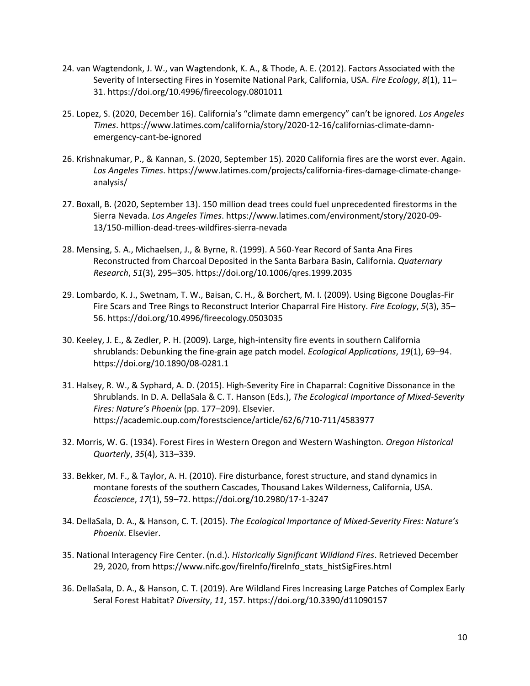- 24. van Wagtendonk, J. W., van Wagtendonk, K. A., & Thode, A. E. (2012). Factors Associated with the Severity of Intersecting Fires in Yosemite National Park, California, USA. *Fire Ecology*, *8*(1), 11– 31. https://doi.org/10.4996/fireecology.0801011
- 25. Lopez, S. (2020, December 16). California's "climate damn emergency" can't be ignored. *Los Angeles Times*. https://www.latimes.com/california/story/2020-12-16/californias-climate-damnemergency-cant-be-ignored
- 26. Krishnakumar, P., & Kannan, S. (2020, September 15). 2020 California fires are the worst ever. Again. *Los Angeles Times*. https://www.latimes.com/projects/california-fires-damage-climate-changeanalysis/
- 27. Boxall, B. (2020, September 13). 150 million dead trees could fuel unprecedented firestorms in the Sierra Nevada. *Los Angeles Times*. https://www.latimes.com/environment/story/2020-09- 13/150-million-dead-trees-wildfires-sierra-nevada
- 28. Mensing, S. A., Michaelsen, J., & Byrne, R. (1999). A 560-Year Record of Santa Ana Fires Reconstructed from Charcoal Deposited in the Santa Barbara Basin, California. *Quaternary Research*, *51*(3), 295–305. https://doi.org/10.1006/qres.1999.2035
- 29. Lombardo, K. J., Swetnam, T. W., Baisan, C. H., & Borchert, M. I. (2009). Using Bigcone Douglas-Fir Fire Scars and Tree Rings to Reconstruct Interior Chaparral Fire History. *Fire Ecology*, *5*(3), 35– 56. https://doi.org/10.4996/fireecology.0503035
- 30. Keeley, J. E., & Zedler, P. H. (2009). Large, high-intensity fire events in southern California shrublands: Debunking the fine-grain age patch model. *Ecological Applications*, *19*(1), 69–94. https://doi.org/10.1890/08-0281.1
- 31. Halsey, R. W., & Syphard, A. D. (2015). High-Severity Fire in Chaparral: Cognitive Dissonance in the Shrublands. In D. A. DellaSala & C. T. Hanson (Eds.), *The Ecological Importance of Mixed-Severity Fires: Nature's Phoenix* (pp. 177–209). Elsevier. https://academic.oup.com/forestscience/article/62/6/710-711/4583977
- 32. Morris, W. G. (1934). Forest Fires in Western Oregon and Western Washington. *Oregon Historical Quarterly*, *35*(4), 313–339.
- 33. Bekker, M. F., & Taylor, A. H. (2010). Fire disturbance, forest structure, and stand dynamics in montane forests of the southern Cascades, Thousand Lakes Wilderness, California, USA. *Écoscience*, *17*(1), 59–72. https://doi.org/10.2980/17-1-3247
- 34. DellaSala, D. A., & Hanson, C. T. (2015). *The Ecological Importance of Mixed-Severity Fires: Nature's Phoenix*. Elsevier.
- 35. National Interagency Fire Center. (n.d.). *Historically Significant Wildland Fires*. Retrieved December 29, 2020, from https://www.nifc.gov/fireInfo/fireInfo\_stats\_histSigFires.html
- 36. DellaSala, D. A., & Hanson, C. T. (2019). Are Wildland Fires Increasing Large Patches of Complex Early Seral Forest Habitat? *Diversity*, *11*, 157. https://doi.org/10.3390/d11090157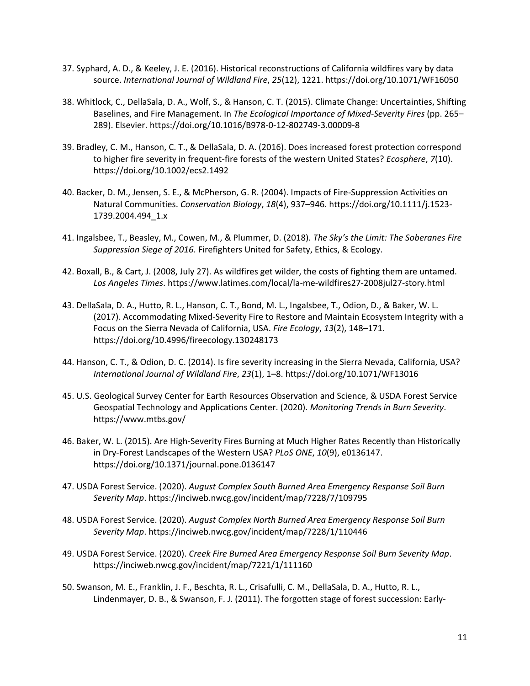- 37. Syphard, A. D., & Keeley, J. E. (2016). Historical reconstructions of California wildfires vary by data source. *International Journal of Wildland Fire*, *25*(12), 1221. https://doi.org/10.1071/WF16050
- 38. Whitlock, C., DellaSala, D. A., Wolf, S., & Hanson, C. T. (2015). Climate Change: Uncertainties, Shifting Baselines, and Fire Management. In *The Ecological Importance of Mixed-Severity Fires* (pp. 265– 289). Elsevier. https://doi.org/10.1016/B978-0-12-802749-3.00009-8
- 39. Bradley, C. M., Hanson, C. T., & DellaSala, D. A. (2016). Does increased forest protection correspond to higher fire severity in frequent‐fire forests of the western United States? *Ecosphere*, *7*(10). https://doi.org/10.1002/ecs2.1492
- 40. Backer, D. M., Jensen, S. E., & McPherson, G. R. (2004). Impacts of Fire-Suppression Activities on Natural Communities. *Conservation Biology*, *18*(4), 937–946. https://doi.org/10.1111/j.1523- 1739.2004.494\_1.x
- 41. Ingalsbee, T., Beasley, M., Cowen, M., & Plummer, D. (2018). *The Sky's the Limit: The Soberanes Fire Suppression Siege of 2016*. Firefighters United for Safety, Ethics, & Ecology.
- 42. Boxall, B., & Cart, J. (2008, July 27). As wildfires get wilder, the costs of fighting them are untamed. *Los Angeles Times*. https://www.latimes.com/local/la-me-wildfires27-2008jul27-story.html
- 43. DellaSala, D. A., Hutto, R. L., Hanson, C. T., Bond, M. L., Ingalsbee, T., Odion, D., & Baker, W. L. (2017). Accommodating Mixed-Severity Fire to Restore and Maintain Ecosystem Integrity with a Focus on the Sierra Nevada of California, USA. *Fire Ecology*, *13*(2), 148–171. https://doi.org/10.4996/fireecology.130248173
- 44. Hanson, C. T., & Odion, D. C. (2014). Is fire severity increasing in the Sierra Nevada, California, USA? *International Journal of Wildland Fire*, *23*(1), 1–8. https://doi.org/10.1071/WF13016
- 45. U.S. Geological Survey Center for Earth Resources Observation and Science, & USDA Forest Service Geospatial Technology and Applications Center. (2020). *Monitoring Trends in Burn Severity*. https://www.mtbs.gov/
- 46. Baker, W. L. (2015). Are High-Severity Fires Burning at Much Higher Rates Recently than Historically in Dry-Forest Landscapes of the Western USA? *PLoS ONE*, *10*(9), e0136147. https://doi.org/10.1371/journal.pone.0136147
- 47. USDA Forest Service. (2020). *August Complex South Burned Area Emergency Response Soil Burn Severity Map*. https://inciweb.nwcg.gov/incident/map/7228/7/109795
- 48. USDA Forest Service. (2020). *August Complex North Burned Area Emergency Response Soil Burn Severity Map*. https://inciweb.nwcg.gov/incident/map/7228/1/110446
- 49. USDA Forest Service. (2020). *Creek Fire Burned Area Emergency Response Soil Burn Severity Map*. https://inciweb.nwcg.gov/incident/map/7221/1/111160
- 50. Swanson, M. E., Franklin, J. F., Beschta, R. L., Crisafulli, C. M., DellaSala, D. A., Hutto, R. L., Lindenmayer, D. B., & Swanson, F. J. (2011). The forgotten stage of forest succession: Early‐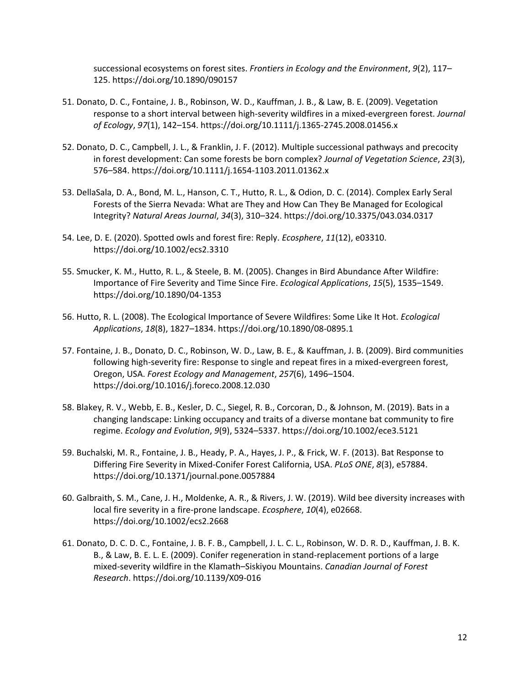successional ecosystems on forest sites. *Frontiers in Ecology and the Environment*, *9*(2), 117– 125. https://doi.org/10.1890/090157

- 51. Donato, D. C., Fontaine, J. B., Robinson, W. D., Kauffman, J. B., & Law, B. E. (2009). Vegetation response to a short interval between high-severity wildfires in a mixed-evergreen forest. *Journal of Ecology*, *97*(1), 142–154. https://doi.org/10.1111/j.1365-2745.2008.01456.x
- 52. Donato, D. C., Campbell, J. L., & Franklin, J. F. (2012). Multiple successional pathways and precocity in forest development: Can some forests be born complex? *Journal of Vegetation Science*, *23*(3), 576–584. https://doi.org/10.1111/j.1654-1103.2011.01362.x
- 53. DellaSala, D. A., Bond, M. L., Hanson, C. T., Hutto, R. L., & Odion, D. C. (2014). Complex Early Seral Forests of the Sierra Nevada: What are They and How Can They Be Managed for Ecological Integrity? *Natural Areas Journal*, *34*(3), 310–324. https://doi.org/10.3375/043.034.0317
- 54. Lee, D. E. (2020). Spotted owls and forest fire: Reply. *Ecosphere*, *11*(12), e03310. https://doi.org/10.1002/ecs2.3310
- 55. Smucker, K. M., Hutto, R. L., & Steele, B. M. (2005). Changes in Bird Abundance After Wildfire: Importance of Fire Severity and Time Since Fire. *Ecological Applications*, *15*(5), 1535–1549. https://doi.org/10.1890/04-1353
- 56. Hutto, R. L. (2008). The Ecological Importance of Severe Wildfires: Some Like It Hot. *Ecological Applications*, *18*(8), 1827–1834. https://doi.org/10.1890/08-0895.1
- 57. Fontaine, J. B., Donato, D. C., Robinson, W. D., Law, B. E., & Kauffman, J. B. (2009). Bird communities following high-severity fire: Response to single and repeat fires in a mixed-evergreen forest, Oregon, USA. *Forest Ecology and Management*, *257*(6), 1496–1504. https://doi.org/10.1016/j.foreco.2008.12.030
- 58. Blakey, R. V., Webb, E. B., Kesler, D. C., Siegel, R. B., Corcoran, D., & Johnson, M. (2019). Bats in a changing landscape: Linking occupancy and traits of a diverse montane bat community to fire regime. *Ecology and Evolution*, *9*(9), 5324–5337. https://doi.org/10.1002/ece3.5121
- 59. Buchalski, M. R., Fontaine, J. B., Heady, P. A., Hayes, J. P., & Frick, W. F. (2013). Bat Response to Differing Fire Severity in Mixed-Conifer Forest California, USA. *PLoS ONE*, *8*(3), e57884. https://doi.org/10.1371/journal.pone.0057884
- 60. Galbraith, S. M., Cane, J. H., Moldenke, A. R., & Rivers, J. W. (2019). Wild bee diversity increases with local fire severity in a fire‐prone landscape. *Ecosphere*, *10*(4), e02668. https://doi.org/10.1002/ecs2.2668
- 61. Donato, D. C. D. C., Fontaine, J. B. F. B., Campbell, J. L. C. L., Robinson, W. D. R. D., Kauffman, J. B. K. B., & Law, B. E. L. E. (2009). Conifer regeneration in stand-replacement portions of a large mixed-severity wildfire in the Klamath–Siskiyou Mountains. *Canadian Journal of Forest Research*. https://doi.org/10.1139/X09-016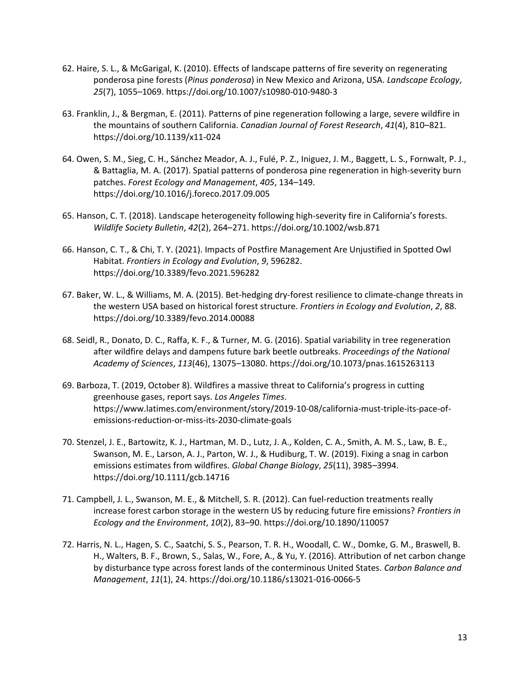- 62. Haire, S. L., & McGarigal, K. (2010). Effects of landscape patterns of fire severity on regenerating ponderosa pine forests (*Pinus ponderosa*) in New Mexico and Arizona, USA. *Landscape Ecology*, *25*(7), 1055–1069. https://doi.org/10.1007/s10980-010-9480-3
- 63. Franklin, J., & Bergman, E. (2011). Patterns of pine regeneration following a large, severe wildfire in the mountains of southern California. *Canadian Journal of Forest Research*, *41*(4), 810–821. https://doi.org/10.1139/x11-024
- 64. Owen, S. M., Sieg, C. H., Sánchez Meador, A. J., Fulé, P. Z., Iniguez, J. M., Baggett, L. S., Fornwalt, P. J., & Battaglia, M. A. (2017). Spatial patterns of ponderosa pine regeneration in high-severity burn patches. *Forest Ecology and Management*, *405*, 134–149. https://doi.org/10.1016/j.foreco.2017.09.005
- 65. Hanson, C. T. (2018). Landscape heterogeneity following high-severity fire in California's forests. *Wildlife Society Bulletin*, *42*(2), 264–271. https://doi.org/10.1002/wsb.871
- 66. Hanson, C. T., & Chi, T. Y. (2021). Impacts of Postfire Management Are Unjustified in Spotted Owl Habitat. *Frontiers in Ecology and Evolution*, *9*, 596282. https://doi.org/10.3389/fevo.2021.596282
- 67. Baker, W. L., & Williams, M. A. (2015). Bet-hedging dry-forest resilience to climate-change threats in the western USA based on historical forest structure. *Frontiers in Ecology and Evolution*, *2*, 88. https://doi.org/10.3389/fevo.2014.00088
- 68. Seidl, R., Donato, D. C., Raffa, K. F., & Turner, M. G. (2016). Spatial variability in tree regeneration after wildfire delays and dampens future bark beetle outbreaks. *Proceedings of the National Academy of Sciences*, *113*(46), 13075–13080. https://doi.org/10.1073/pnas.1615263113
- 69. Barboza, T. (2019, October 8). Wildfires a massive threat to California's progress in cutting greenhouse gases, report says. *Los Angeles Times*. https://www.latimes.com/environment/story/2019-10-08/california-must-triple-its-pace-ofemissions-reduction-or-miss-its-2030-climate-goals
- 70. Stenzel, J. E., Bartowitz, K. J., Hartman, M. D., Lutz, J. A., Kolden, C. A., Smith, A. M. S., Law, B. E., Swanson, M. E., Larson, A. J., Parton, W. J., & Hudiburg, T. W. (2019). Fixing a snag in carbon emissions estimates from wildfires. *Global Change Biology*, *25*(11), 3985–3994. https://doi.org/10.1111/gcb.14716
- 71. Campbell, J. L., Swanson, M. E., & Mitchell, S. R. (2012). Can fuel‐reduction treatments really increase forest carbon storage in the western US by reducing future fire emissions? *Frontiers in Ecology and the Environment*, *10*(2), 83–90. https://doi.org/10.1890/110057
- 72. Harris, N. L., Hagen, S. C., Saatchi, S. S., Pearson, T. R. H., Woodall, C. W., Domke, G. M., Braswell, B. H., Walters, B. F., Brown, S., Salas, W., Fore, A., & Yu, Y. (2016). Attribution of net carbon change by disturbance type across forest lands of the conterminous United States. *Carbon Balance and Management*, *11*(1), 24. https://doi.org/10.1186/s13021-016-0066-5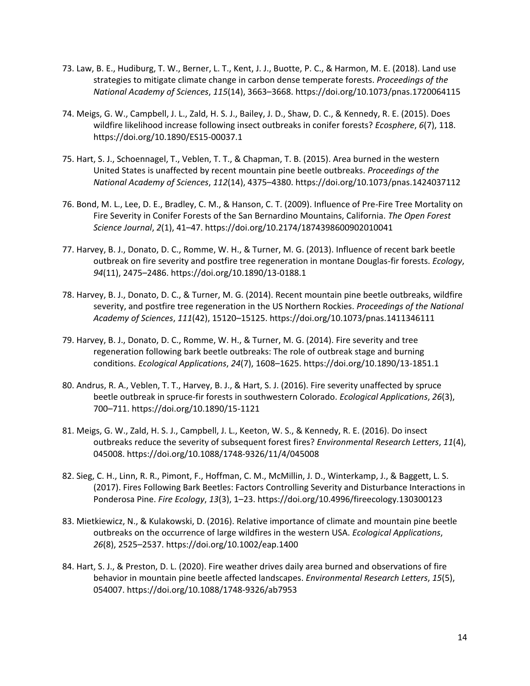- 73. Law, B. E., Hudiburg, T. W., Berner, L. T., Kent, J. J., Buotte, P. C., & Harmon, M. E. (2018). Land use strategies to mitigate climate change in carbon dense temperate forests. *Proceedings of the National Academy of Sciences*, *115*(14), 3663–3668. https://doi.org/10.1073/pnas.1720064115
- 74. Meigs, G. W., Campbell, J. L., Zald, H. S. J., Bailey, J. D., Shaw, D. C., & Kennedy, R. E. (2015). Does wildfire likelihood increase following insect outbreaks in conifer forests? *Ecosphere*, *6*(7), 118. https://doi.org/10.1890/ES15-00037.1
- 75. Hart, S. J., Schoennagel, T., Veblen, T. T., & Chapman, T. B. (2015). Area burned in the western United States is unaffected by recent mountain pine beetle outbreaks. *Proceedings of the National Academy of Sciences*, *112*(14), 4375–4380. https://doi.org/10.1073/pnas.1424037112
- 76. Bond, M. L., Lee, D. E., Bradley, C. M., & Hanson, C. T. (2009). Influence of Pre-Fire Tree Mortality on Fire Severity in Conifer Forests of the San Bernardino Mountains, California. *The Open Forest Science Journal*, *2*(1), 41–47. https://doi.org/10.2174/1874398600902010041
- 77. Harvey, B. J., Donato, D. C., Romme, W. H., & Turner, M. G. (2013). Influence of recent bark beetle outbreak on fire severity and postfire tree regeneration in montane Douglas-fir forests. *Ecology*, *94*(11), 2475–2486. https://doi.org/10.1890/13-0188.1
- 78. Harvey, B. J., Donato, D. C., & Turner, M. G. (2014). Recent mountain pine beetle outbreaks, wildfire severity, and postfire tree regeneration in the US Northern Rockies. *Proceedings of the National Academy of Sciences*, *111*(42), 15120–15125. https://doi.org/10.1073/pnas.1411346111
- 79. Harvey, B. J., Donato, D. C., Romme, W. H., & Turner, M. G. (2014). Fire severity and tree regeneration following bark beetle outbreaks: The role of outbreak stage and burning conditions. *Ecological Applications*, *24*(7), 1608–1625. https://doi.org/10.1890/13-1851.1
- 80. Andrus, R. A., Veblen, T. T., Harvey, B. J., & Hart, S. J. (2016). Fire severity unaffected by spruce beetle outbreak in spruce-fir forests in southwestern Colorado. *Ecological Applications*, *26*(3), 700–711. https://doi.org/10.1890/15-1121
- 81. Meigs, G. W., Zald, H. S. J., Campbell, J. L., Keeton, W. S., & Kennedy, R. E. (2016). Do insect outbreaks reduce the severity of subsequent forest fires? *Environmental Research Letters*, *11*(4), 045008. https://doi.org/10.1088/1748-9326/11/4/045008
- 82. Sieg, C. H., Linn, R. R., Pimont, F., Hoffman, C. M., McMillin, J. D., Winterkamp, J., & Baggett, L. S. (2017). Fires Following Bark Beetles: Factors Controlling Severity and Disturbance Interactions in Ponderosa Pine. *Fire Ecology*, *13*(3), 1–23. https://doi.org/10.4996/fireecology.130300123
- 83. Mietkiewicz, N., & Kulakowski, D. (2016). Relative importance of climate and mountain pine beetle outbreaks on the occurrence of large wildfires in the western USA. *Ecological Applications*, *26*(8), 2525–2537. https://doi.org/10.1002/eap.1400
- 84. Hart, S. J., & Preston, D. L. (2020). Fire weather drives daily area burned and observations of fire behavior in mountain pine beetle affected landscapes. *Environmental Research Letters*, *15*(5), 054007. https://doi.org/10.1088/1748-9326/ab7953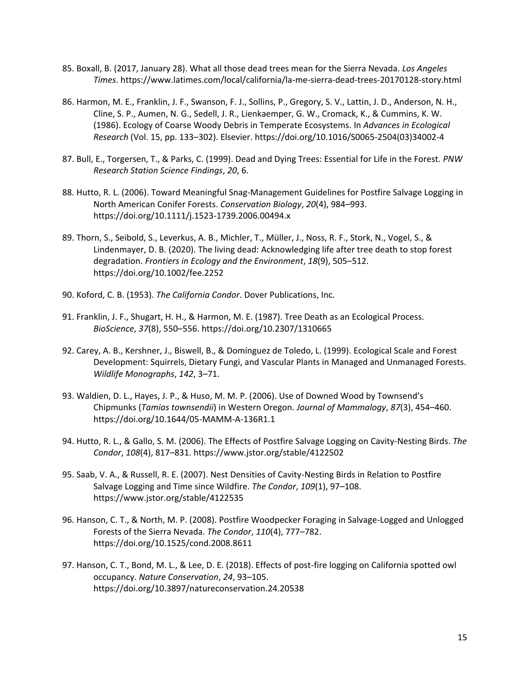- 85. Boxall, B. (2017, January 28). What all those dead trees mean for the Sierra Nevada. *Los Angeles Times*. https://www.latimes.com/local/california/la-me-sierra-dead-trees-20170128-story.html
- 86. Harmon, M. E., Franklin, J. F., Swanson, F. J., Sollins, P., Gregory, S. V., Lattin, J. D., Anderson, N. H., Cline, S. P., Aumen, N. G., Sedell, J. R., Lienkaemper, G. W., Cromack, K., & Cummins, K. W. (1986). Ecology of Coarse Woody Debris in Temperate Ecosystems. In *Advances in Ecological Research* (Vol. 15, pp. 133–302). Elsevier. https://doi.org/10.1016/S0065-2504(03)34002-4
- 87. Bull, E., Torgersen, T., & Parks, C. (1999). Dead and Dying Trees: Essential for Life in the Forest. *PNW Research Station Science Findings*, *20*, 6.
- 88. Hutto, R. L. (2006). Toward Meaningful Snag-Management Guidelines for Postfire Salvage Logging in North American Conifer Forests. *Conservation Biology*, *20*(4), 984–993. https://doi.org/10.1111/j.1523-1739.2006.00494.x
- 89. Thorn, S., Seibold, S., Leverkus, A. B., Michler, T., Müller, J., Noss, R. F., Stork, N., Vogel, S., & Lindenmayer, D. B. (2020). The living dead: Acknowledging life after tree death to stop forest degradation. *Frontiers in Ecology and the Environment*, *18*(9), 505–512. https://doi.org/10.1002/fee.2252
- 90. Koford, C. B. (1953). *The California Condor*. Dover Publications, Inc.
- 91. Franklin, J. F., Shugart, H. H., & Harmon, M. E. (1987). Tree Death as an Ecological Process. *BioScience*, *37*(8), 550–556. https://doi.org/10.2307/1310665
- 92. Carey, A. B., Kershner, J., Biswell, B., & Domínguez de Toledo, L. (1999). Ecological Scale and Forest Development: Squirrels, Dietary Fungi, and Vascular Plants in Managed and Unmanaged Forests. *Wildlife Monographs*, *142*, 3–71.
- 93. Waldien, D. L., Hayes, J. P., & Huso, M. M. P. (2006). Use of Downed Wood by Townsend's Chipmunks (*Tamias townsendii*) in Western Oregon. *Journal of Mammalogy*, *87*(3), 454–460. https://doi.org/10.1644/05-MAMM-A-136R1.1
- 94. Hutto, R. L., & Gallo, S. M. (2006). The Effects of Postfire Salvage Logging on Cavity-Nesting Birds. *The Condor*, *108*(4), 817–831. https://www.jstor.org/stable/4122502
- 95. Saab, V. A., & Russell, R. E. (2007). Nest Densities of Cavity-Nesting Birds in Relation to Postfire Salvage Logging and Time since Wildfire. *The Condor*, *109*(1), 97–108. https://www.jstor.org/stable/4122535
- 96. Hanson, C. T., & North, M. P. (2008). Postfire Woodpecker Foraging in Salvage-Logged and Unlogged Forests of the Sierra Nevada. *The Condor*, *110*(4), 777–782. https://doi.org/10.1525/cond.2008.8611
- 97. Hanson, C. T., Bond, M. L., & Lee, D. E. (2018). Effects of post-fire logging on California spotted owl occupancy. *Nature Conservation*, *24*, 93–105. https://doi.org/10.3897/natureconservation.24.20538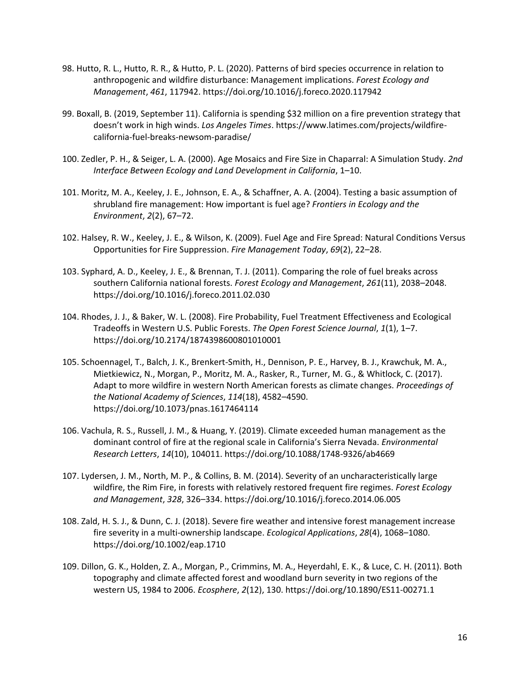- 98. Hutto, R. L., Hutto, R. R., & Hutto, P. L. (2020). Patterns of bird species occurrence in relation to anthropogenic and wildfire disturbance: Management implications. *Forest Ecology and Management*, *461*, 117942. https://doi.org/10.1016/j.foreco.2020.117942
- 99. Boxall, B. (2019, September 11). California is spending \$32 million on a fire prevention strategy that doesn't work in high winds. *Los Angeles Times*. https://www.latimes.com/projects/wildfirecalifornia-fuel-breaks-newsom-paradise/
- 100. Zedler, P. H., & Seiger, L. A. (2000). Age Mosaics and Fire Size in Chaparral: A Simulation Study. *2nd Interface Between Ecology and Land Development in California*, 1–10.
- 101. Moritz, M. A., Keeley, J. E., Johnson, E. A., & Schaffner, A. A. (2004). Testing a basic assumption of shrubland fire management: How important is fuel age? *Frontiers in Ecology and the Environment*, *2*(2), 67–72.
- 102. Halsey, R. W., Keeley, J. E., & Wilson, K. (2009). Fuel Age and Fire Spread: Natural Conditions Versus Opportunities for Fire Suppression. *Fire Management Today*, *69*(2), 22–28.
- 103. Syphard, A. D., Keeley, J. E., & Brennan, T. J. (2011). Comparing the role of fuel breaks across southern California national forests. *Forest Ecology and Management*, *261*(11), 2038–2048. https://doi.org/10.1016/j.foreco.2011.02.030
- 104. Rhodes, J. J., & Baker, W. L. (2008). Fire Probability, Fuel Treatment Effectiveness and Ecological Tradeoffs in Western U.S. Public Forests. *The Open Forest Science Journal*, *1*(1), 1–7. https://doi.org/10.2174/1874398600801010001
- 105. Schoennagel, T., Balch, J. K., Brenkert-Smith, H., Dennison, P. E., Harvey, B. J., Krawchuk, M. A., Mietkiewicz, N., Morgan, P., Moritz, M. A., Rasker, R., Turner, M. G., & Whitlock, C. (2017). Adapt to more wildfire in western North American forests as climate changes. *Proceedings of the National Academy of Sciences*, *114*(18), 4582–4590. https://doi.org/10.1073/pnas.1617464114
- 106. Vachula, R. S., Russell, J. M., & Huang, Y. (2019). Climate exceeded human management as the dominant control of fire at the regional scale in California's Sierra Nevada. *Environmental Research Letters*, *14*(10), 104011. https://doi.org/10.1088/1748-9326/ab4669
- 107. Lydersen, J. M., North, M. P., & Collins, B. M. (2014). Severity of an uncharacteristically large wildfire, the Rim Fire, in forests with relatively restored frequent fire regimes. *Forest Ecology and Management*, *328*, 326–334. https://doi.org/10.1016/j.foreco.2014.06.005
- 108. Zald, H. S. J., & Dunn, C. J. (2018). Severe fire weather and intensive forest management increase fire severity in a multi-ownership landscape. *Ecological Applications*, *28*(4), 1068–1080. https://doi.org/10.1002/eap.1710
- 109. Dillon, G. K., Holden, Z. A., Morgan, P., Crimmins, M. A., Heyerdahl, E. K., & Luce, C. H. (2011). Both topography and climate affected forest and woodland burn severity in two regions of the western US, 1984 to 2006. *Ecosphere*, *2*(12), 130. https://doi.org/10.1890/ES11-00271.1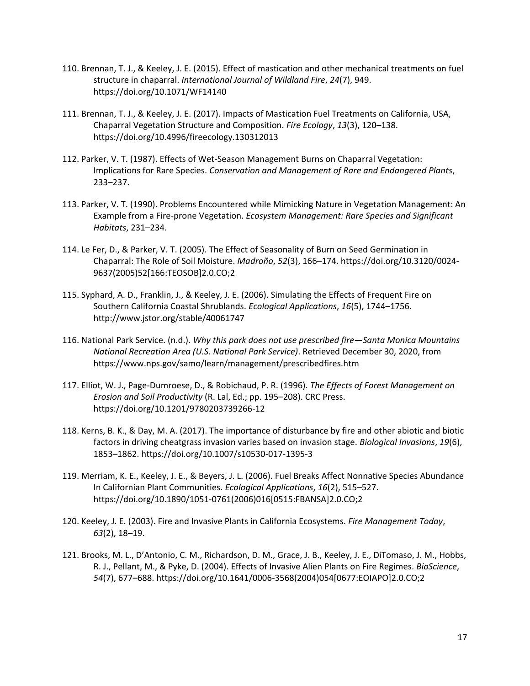- 110. Brennan, T. J., & Keeley, J. E. (2015). Effect of mastication and other mechanical treatments on fuel structure in chaparral. *International Journal of Wildland Fire*, *24*(7), 949. https://doi.org/10.1071/WF14140
- 111. Brennan, T. J., & Keeley, J. E. (2017). Impacts of Mastication Fuel Treatments on California, USA, Chaparral Vegetation Structure and Composition. *Fire Ecology*, *13*(3), 120–138. https://doi.org/10.4996/fireecology.130312013
- 112. Parker, V. T. (1987). Effects of Wet-Season Management Burns on Chaparral Vegetation: Implications for Rare Species. *Conservation and Management of Rare and Endangered Plants*, 233–237.
- 113. Parker, V. T. (1990). Problems Encountered while Mimicking Nature in Vegetation Management: An Example from a Fire-prone Vegetation. *Ecosystem Management: Rare Species and Significant Habitats*, 231–234.
- 114. Le Fer, D., & Parker, V. T. (2005). The Effect of Seasonality of Burn on Seed Germination in Chaparral: The Role of Soil Moisture. *Madroño*, *52*(3), 166–174. https://doi.org/10.3120/0024- 9637(2005)52[166:TEOSOB]2.0.CO;2
- 115. Syphard, A. D., Franklin, J., & Keeley, J. E. (2006). Simulating the Effects of Frequent Fire on Southern California Coastal Shrublands. *Ecological Applications*, *16*(5), 1744–1756. http://www.jstor.org/stable/40061747
- 116. National Park Service. (n.d.). *Why this park does not use prescribed fire—Santa Monica Mountains National Recreation Area (U.S. National Park Service)*. Retrieved December 30, 2020, from https://www.nps.gov/samo/learn/management/prescribedfires.htm
- 117. Elliot, W. J., Page-Dumroese, D., & Robichaud, P. R. (1996). *The Effects of Forest Management on Erosion and Soil Productivity* (R. Lal, Ed.; pp. 195–208). CRC Press. https://doi.org/10.1201/9780203739266-12
- 118. Kerns, B. K., & Day, M. A. (2017). The importance of disturbance by fire and other abiotic and biotic factors in driving cheatgrass invasion varies based on invasion stage. *Biological Invasions*, *19*(6), 1853–1862. https://doi.org/10.1007/s10530-017-1395-3
- 119. Merriam, K. E., Keeley, J. E., & Beyers, J. L. (2006). Fuel Breaks Affect Nonnative Species Abundance In Californian Plant Communities. *Ecological Applications*, *16*(2), 515–527. https://doi.org/10.1890/1051-0761(2006)016[0515:FBANSA]2.0.CO;2
- 120. Keeley, J. E. (2003). Fire and Invasive Plants in California Ecosystems. *Fire Management Today*, *63*(2), 18–19.
- 121. Brooks, M. L., D'Antonio, C. M., Richardson, D. M., Grace, J. B., Keeley, J. E., DiTomaso, J. M., Hobbs, R. J., Pellant, M., & Pyke, D. (2004). Effects of Invasive Alien Plants on Fire Regimes. *BioScience*, *54*(7), 677–688. https://doi.org/10.1641/0006-3568(2004)054[0677:EOIAPO]2.0.CO;2